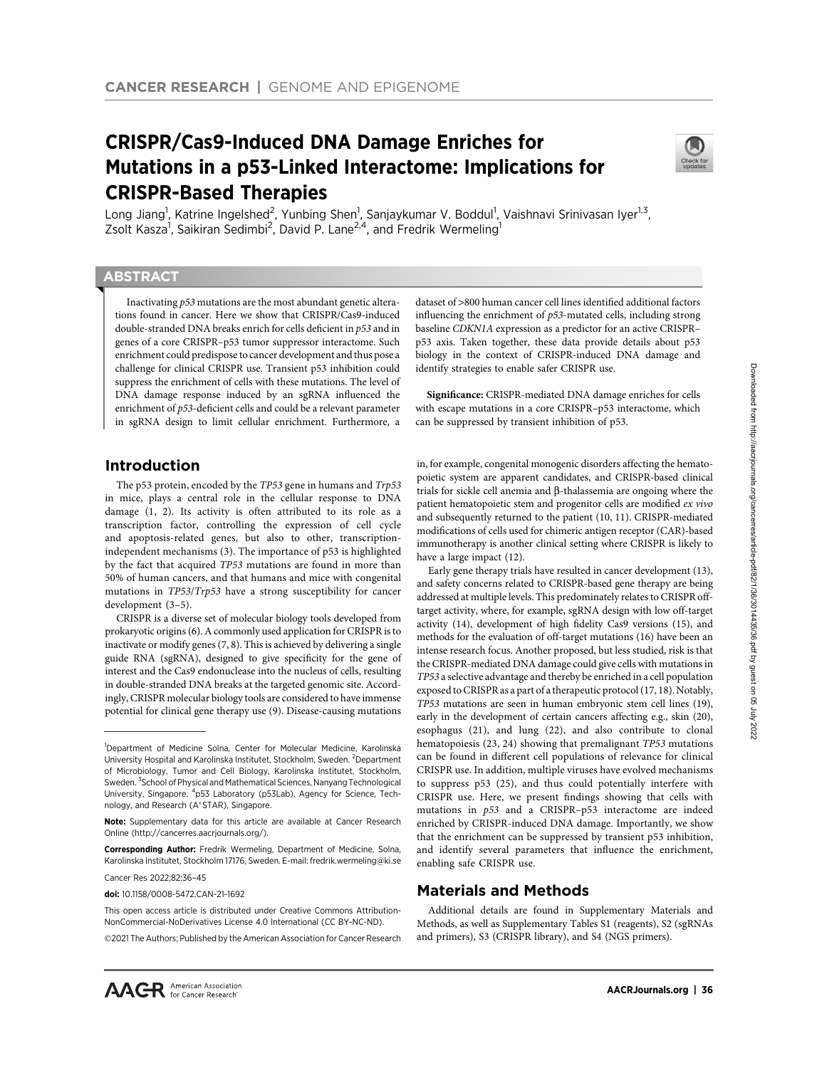# CRISPR/Cas9-Induced DNA Damage Enriches for Mutations in a p53-Linked Interactome: Implications for CRISPR-Based Therapies



Long Jiang<sup>1</sup>, Katrine Ingelshed<sup>2</sup>, Yunbing Shen<sup>1</sup>, Sanjaykumar V. Boddul<sup>1</sup>, Vaishnavi Srinivasan Iyer<sup>1,3</sup>, Zsolt Kasza<sup>1</sup>, Saikiran Sedimbi<sup>2</sup>, David P. Lane<sup>2,4</sup>, and Fredrik Wermeling<sup>1</sup>

# **ABSTRACT**

◥

Inactivating p53 mutations are the most abundant genetic alterations found in cancer. Here we show that CRISPR/Cas9-induced double-stranded DNA breaks enrich for cells deficient in p53 and in genes of a core CRISPR–p53 tumor suppressor interactome. Such enrichment could predispose to cancer development and thus pose a challenge for clinical CRISPR use. Transient p53 inhibition could suppress the enrichment of cells with these mutations. The level of DNA damage response induced by an sgRNA influenced the enrichment of p53-deficient cells and could be a relevant parameter in sgRNA design to limit cellular enrichment. Furthermore, a

# Introduction

The p53 protein, encoded by the TP53 gene in humans and Trp53 in mice, plays a central role in the cellular response to DNA damage (1, 2). Its activity is often attributed to its role as a transcription factor, controlling the expression of cell cycle and apoptosis-related genes, but also to other, transcriptionindependent mechanisms (3). The importance of p53 is highlighted by the fact that acquired TP53 mutations are found in more than 50% of human cancers, and that humans and mice with congenital mutations in TP53/Trp53 have a strong susceptibility for cancer development (3–5).

CRISPR is a diverse set of molecular biology tools developed from prokaryotic origins (6). A commonly used application for CRISPR is to inactivate or modify genes (7, 8). This is achieved by delivering a single guide RNA (sgRNA), designed to give specificity for the gene of interest and the Cas9 endonuclease into the nucleus of cells, resulting in double-stranded DNA breaks at the targeted genomic site. Accordingly, CRISPR molecular biology tools are considered to have immense potential for clinical gene therapy use (9). Disease-causing mutations

Cancer Res 2022;82:36–45

doi: 10.1158/0008-5472.CAN-21-1692

@2021 The Authors; Published by the American Association for Cancer Research

dataset of >800 human cancer cell lines identified additional factors influencing the enrichment of p53-mutated cells, including strong baseline CDKN1A expression as a predictor for an active CRISPR– p53 axis. Taken together, these data provide details about p53 biology in the context of CRISPR-induced DNA damage and identify strategies to enable safer CRISPR use.

Significance: CRISPR-mediated DNA damage enriches for cells with escape mutations in a core CRISPR–p53 interactome, which can be suppressed by transient inhibition of p53.

in, for example, congenital monogenic disorders affecting the hematopoietic system are apparent candidates, and CRISPR-based clinical trials for sickle cell anemia and  $\beta$ -thalassemia are ongoing where the patient hematopoietic stem and progenitor cells are modified ex vivo and subsequently returned to the patient (10, 11). CRISPR-mediated modifications of cells used for chimeric antigen receptor (CAR)-based immunotherapy is another clinical setting where CRISPR is likely to have a large impact (12).

Early gene therapy trials have resulted in cancer development (13), and safety concerns related to CRISPR-based gene therapy are being addressed at multiple levels. This predominately relates to CRISPR offtarget activity, where, for example, sgRNA design with low off-target activity (14), development of high fidelity Cas9 versions (15), and methods for the evaluation of off-target mutations (16) have been an intense research focus. Another proposed, but less studied, risk is that the CRISPR-mediated DNA damage could give cells with mutations in TP53 a selective advantage and thereby be enriched in a cell population exposed to CRISPR as a part of a therapeutic protocol (17, 18). Notably, TP53 mutations are seen in human embryonic stem cell lines (19), early in the development of certain cancers affecting e.g., skin (20), esophagus (21), and lung (22), and also contribute to clonal hematopoiesis (23, 24) showing that premalignant TP53 mutations can be found in different cell populations of relevance for clinical CRISPR use. In addition, multiple viruses have evolved mechanisms to suppress p53 (25), and thus could potentially interfere with CRISPR use. Here, we present findings showing that cells with mutations in p53 and a CRISPR–p53 interactome are indeed enriched by CRISPR-induced DNA damage. Importantly, we show that the enrichment can be suppressed by transient p53 inhibition, and identify several parameters that influence the enrichment, enabling safe CRISPR use.

# Materials and Methods

Additional details are found in Supplementary Materials and Methods, as well as Supplementary Tables S1 (reagents), S2 (sgRNAs and primers), S3 (CRISPR library), and S4 (NGS primers).

<sup>&</sup>lt;sup>1</sup>Department of Medicine Solna, Center for Molecular Medicine, Karolinska University Hospital and Karolinska Institutet, Stockholm, Sweden. <sup>2</sup>Department of Microbiology, Tumor and Cell Biology, Karolinska Institutet, Stockholm, Sweden. <sup>3</sup> School of Physical and Mathematical Sciences, Nanyang Technological University, Singapore. <sup>4</sup>p53 Laboratory (p53Lab), Agency for Science, Technology, and Research (A\*STAR), Singapore.

Note: Supplementary data for this article are available at Cancer Research Online (http://cancerres.aacrjournals.org/).

Corresponding Author: Fredrik Wermeling, Department of Medicine, Solna, Karolinska Institutet, Stockholm 17176, Sweden. E-mail: fredrik.wermeling@ki.se

This open access article is distributed under Creative Commons Attribution-NonCommercial-NoDerivatives License 4.0 International (CC BY-NC-ND).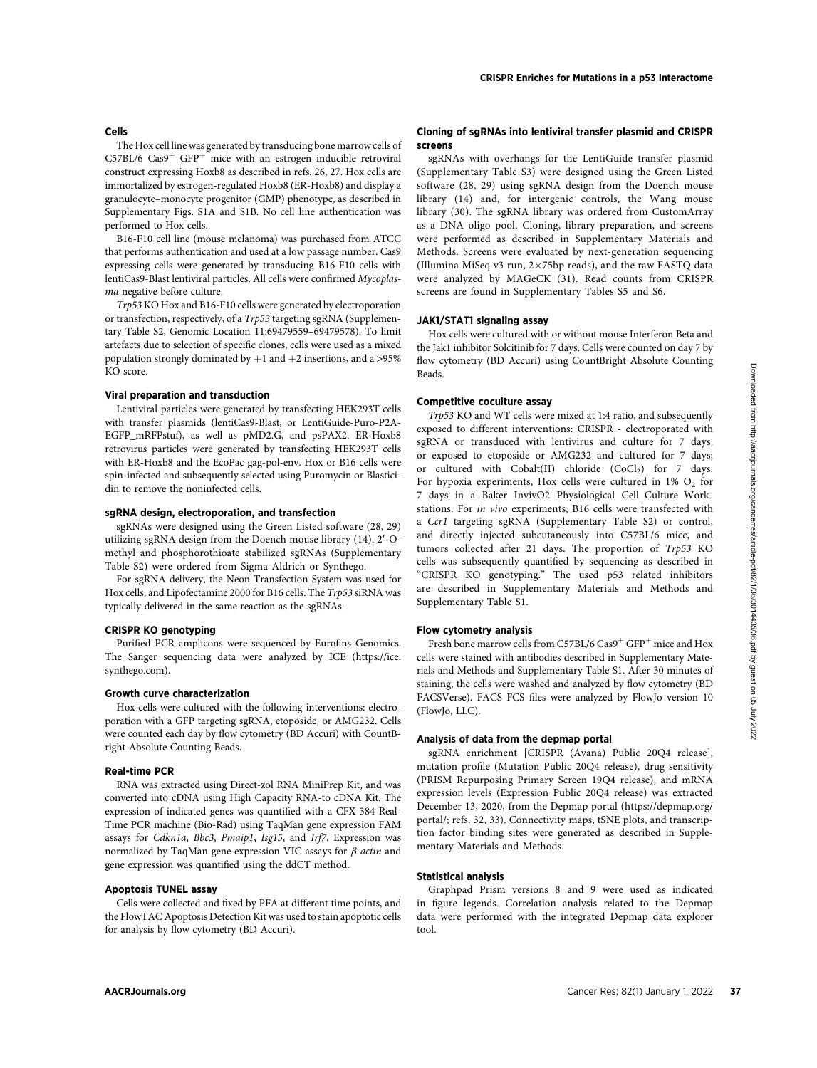#### CRISPR Enriches for Mutations in a p53 Interactome

The Hox cell line was generated by transducing bone marrow cells of  $C57BL/6$  Cas9<sup>+</sup> GFP<sup>+</sup> mice with an estrogen inducible retroviral construct expressing Hoxb8 as described in refs. 26, 27. Hox cells are immortalized by estrogen-regulated Hoxb8 (ER-Hoxb8) and display a granulocyte–monocyte progenitor (GMP) phenotype, as described in Supplementary Figs. S1A and S1B. No cell line authentication was performed to Hox cells.

B16-F10 cell line (mouse melanoma) was purchased from ATCC that performs authentication and used at a low passage number. Cas9 expressing cells were generated by transducing B16-F10 cells with lentiCas9-Blast lentiviral particles. All cells were confirmed Mycoplasma negative before culture.

Trp53 KO Hox and B16-F10 cells were generated by electroporation or transfection, respectively, of a Trp53 targeting sgRNA (Supplementary Table S2, Genomic Location 11:69479559–69479578). To limit artefacts due to selection of specific clones, cells were used as a mixed population strongly dominated by  $+1$  and  $+2$  insertions, and a >95% KO score.

## Viral preparation and transduction

Cells

Lentiviral particles were generated by transfecting HEK293T cells with transfer plasmids (lentiCas9-Blast; or LentiGuide-Puro-P2A-EGFP\_mRFPstuf), as well as pMD2.G, and psPAX2. ER-Hoxb8 retrovirus particles were generated by transfecting HEK293T cells with ER-Hoxb8 and the EcoPac gag-pol-env. Hox or B16 cells were spin-infected and subsequently selected using Puromycin or Blasticidin to remove the noninfected cells.

## sgRNA design, electroporation, and transfection

sgRNAs were designed using the Green Listed software (28, 29) utilizing sgRNA design from the Doench mouse library (14). 2'-Omethyl and phosphorothioate stabilized sgRNAs (Supplementary Table S2) were ordered from Sigma-Aldrich or Synthego.

For sgRNA delivery, the Neon Transfection System was used for Hox cells, and Lipofectamine 2000 for B16 cells. The Trp53 siRNA was typically delivered in the same reaction as the sgRNAs.

#### CRISPR KO genotyping

Purified PCR amplicons were sequenced by Eurofins Genomics. The Sanger sequencing data were analyzed by ICE ([https://ice.](https://ice.synthego.com) [synthego.com](https://ice.synthego.com)).

#### Growth curve characterization

Hox cells were cultured with the following interventions: electroporation with a GFP targeting sgRNA, etoposide, or AMG232. Cells were counted each day by flow cytometry (BD Accuri) with CountBright Absolute Counting Beads.

#### Real-time PCR

RNA was extracted using Direct-zol RNA MiniPrep Kit, and was converted into cDNA using High Capacity RNA-to cDNA Kit. The expression of indicated genes was quantified with a CFX 384 Real-Time PCR machine (Bio-Rad) using TaqMan gene expression FAM assays for Cdkn1a, Bbc3, Pmaip1, Isg15, and Irf7. Expression was normalized by TaqMan gene expression VIC assays for  $\beta$ -actin and gene expression was quantified using the ddCT method.

#### Apoptosis TUNEL assay

Cells were collected and fixed by PFA at different time points, and the FlowTAC Apoptosis Detection Kit was used to stain apoptotic cells for analysis by flow cytometry (BD Accuri).

#### Cloning of sgRNAs into lentiviral transfer plasmid and CRISPR screens

sgRNAs with overhangs for the LentiGuide transfer plasmid (Supplementary Table S3) were designed using the Green Listed software (28, 29) using sgRNA design from the Doench mouse library (14) and, for intergenic controls, the Wang mouse library (30). The sgRNA library was ordered from CustomArray as a DNA oligo pool. Cloning, library preparation, and screens were performed as described in Supplementary Materials and Methods. Screens were evaluated by next-generation sequencing (Illumina MiSeq v3 run,  $2\times75$ bp reads), and the raw FASTQ data were analyzed by MAGeCK (31). Read counts from CRISPR screens are found in Supplementary Tables S5 and S6.

### JAK1/STAT1 signaling assay

Hox cells were cultured with or without mouse Interferon Beta and the Jak1 inhibitor Solcitinib for 7 days. Cells were counted on day 7 by flow cytometry (BD Accuri) using CountBright Absolute Counting Beads.

#### Competitive coculture assay

Trp53 KO and WT cells were mixed at 1:4 ratio, and subsequently exposed to different interventions: CRISPR - electroporated with sgRNA or transduced with lentivirus and culture for 7 days; or exposed to etoposide or AMG232 and cultured for 7 days; or cultured with  $Cobalt(II)$  chloride  $(CoCl<sub>2</sub>)$  for 7 days. For hypoxia experiments, Hox cells were cultured in  $1\%$  O<sub>2</sub> for 7 days in a Baker InvivO2 Physiological Cell Culture Workstations. For in vivo experiments, B16 cells were transfected with a Ccr1 targeting sgRNA (Supplementary Table S2) or control, and directly injected subcutaneously into C57BL/6 mice, and tumors collected after 21 days. The proportion of Trp53 KO cells was subsequently quantified by sequencing as described in "CRISPR KO genotyping." The used p53 related inhibitors are described in Supplementary Materials and Methods and Supplementary Table S1.

#### Flow cytometry analysis

Fresh bone marrow cells from C57BL/6 Cas9<sup>+</sup> GFP<sup>+</sup> mice and Hox cells were stained with antibodies described in Supplementary Materials and Methods and Supplementary Table S1. After 30 minutes of staining, the cells were washed and analyzed by flow cytometry (BD FACSVerse). FACS FCS files were analyzed by FlowJo version 10 (FlowJo, LLC).

#### Analysis of data from the depmap portal

sgRNA enrichment [CRISPR (Avana) Public 20Q4 release], mutation profile (Mutation Public 20Q4 release), drug sensitivity (PRISM Repurposing Primary Screen 19Q4 release), and mRNA expression levels (Expression Public 20Q4 release) was extracted December 13, 2020, from the Depmap portal ([https://depmap.org/](https://depmap.org/portal/) [portal/](https://depmap.org/portal/); refs. 32, 33). Connectivity maps, tSNE plots, and transcription factor binding sites were generated as described in Supplementary Materials and Methods.

# Statistical analysis

Graphpad Prism versions 8 and 9 were used as indicated in figure legends. Correlation analysis related to the Depmap data were performed with the integrated Depmap data explorer tool.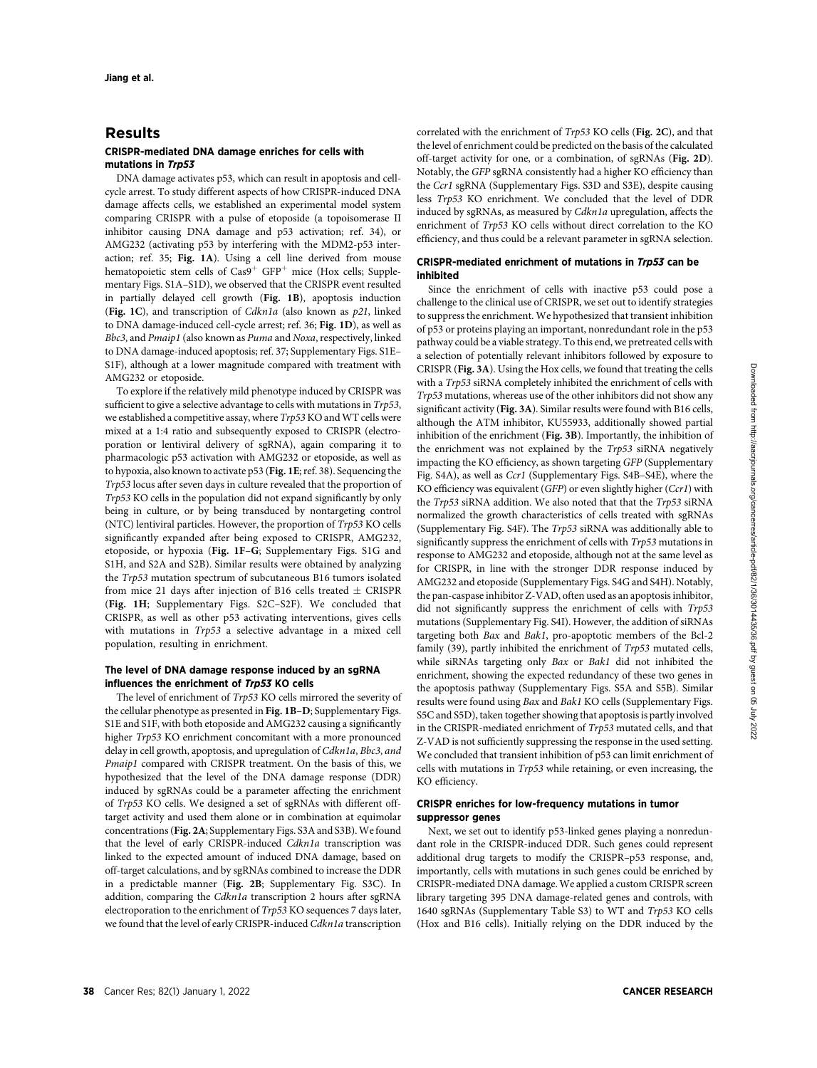# Results

### CRISPR-mediated DNA damage enriches for cells with mutations in Trp53

DNA damage activates p53, which can result in apoptosis and cellcycle arrest. To study different aspects of how CRISPR-induced DNA damage affects cells, we established an experimental model system comparing CRISPR with a pulse of etoposide (a topoisomerase II inhibitor causing DNA damage and p53 activation; ref. 34), or AMG232 (activating p53 by interfering with the MDM2-p53 interaction; ref. 35; Fig. 1A). Using a cell line derived from mouse hematopoietic stem cells of  $Cas9^+$  GFP<sup>+</sup> mice (Hox cells; Supplementary Figs. S1A–S1D), we observed that the CRISPR event resulted in partially delayed cell growth (Fig. 1B), apoptosis induction (Fig. 1C), and transcription of Cdkn1a (also known as p21, linked to DNA damage-induced cell-cycle arrest; ref. 36; Fig. 1D), as well as Bbc3, and Pmaip1 (also known as Puma and Noxa, respectively, linked to DNA damage-induced apoptosis; ref. 37; Supplementary Figs. S1E– S1F), although at a lower magnitude compared with treatment with AMG232 or etoposide.

To explore if the relatively mild phenotype induced by CRISPR was sufficient to give a selective advantage to cells with mutations in Trp53, we established a competitive assay, where Trp53KO and WT cells were mixed at a 1:4 ratio and subsequently exposed to CRISPR (electroporation or lentiviral delivery of sgRNA), again comparing it to pharmacologic p53 activation with AMG232 or etoposide, as well as to hypoxia, also known to activate p53 (Fig. 1E; ref. 38). Sequencing the Trp53 locus after seven days in culture revealed that the proportion of Trp53 KO cells in the population did not expand significantly by only being in culture, or by being transduced by nontargeting control (NTC) lentiviral particles. However, the proportion of Trp53 KO cells significantly expanded after being exposed to CRISPR, AMG232, etoposide, or hypoxia (Fig. 1F–G; Supplementary Figs. S1G and S1H, and S2A and S2B). Similar results were obtained by analyzing the Trp53 mutation spectrum of subcutaneous B16 tumors isolated from mice 21 days after injection of B16 cells treated  $\pm$  CRISPR (Fig. 1H; Supplementary Figs. S2C–S2F). We concluded that CRISPR, as well as other p53 activating interventions, gives cells with mutations in Trp53 a selective advantage in a mixed cell population, resulting in enrichment.

#### The level of DNA damage response induced by an sgRNA influences the enrichment of Trp53 KO cells

The level of enrichment of Trp53 KO cells mirrored the severity of the cellular phenotype as presented in Fig. 1B–D; Supplementary Figs. S1E and S1F, with both etoposide and AMG232 causing a significantly higher Trp53 KO enrichment concomitant with a more pronounced delay in cell growth, apoptosis, and upregulation of Cdkn1a, Bbc3, and Pmaip1 compared with CRISPR treatment. On the basis of this, we hypothesized that the level of the DNA damage response (DDR) induced by sgRNAs could be a parameter affecting the enrichment of Trp53 KO cells. We designed a set of sgRNAs with different offtarget activity and used them alone or in combination at equimolar concentrations (Fig. 2A; Supplementary Figs. S3A and S3B).We found that the level of early CRISPR-induced Cdkn1a transcription was linked to the expected amount of induced DNA damage, based on off-target calculations, and by sgRNAs combined to increase the DDR in a predictable manner (Fig. 2B; Supplementary Fig. S3C). In addition, comparing the Cdkn1a transcription 2 hours after sgRNA electroporation to the enrichment of Trp53 KO sequences 7 days later, we found that the level of early CRISPR-induced Cdkn1a transcription correlated with the enrichment of Trp53 KO cells (Fig. 2C), and that the level of enrichment could be predicted on the basis of the calculated off-target activity for one, or a combination, of sgRNAs (Fig. 2D). Notably, the GFP sgRNA consistently had a higher KO efficiency than the Ccr1 sgRNA (Supplementary Figs. S3D and S3E), despite causing less Trp53 KO enrichment. We concluded that the level of DDR induced by sgRNAs, as measured by Cdkn1a upregulation, affects the enrichment of Trp53 KO cells without direct correlation to the KO efficiency, and thus could be a relevant parameter in sgRNA selection.

## CRISPR-mediated enrichment of mutations in Trp53 can be inhibited

Since the enrichment of cells with inactive p53 could pose a challenge to the clinical use of CRISPR, we set out to identify strategies to suppress the enrichment. We hypothesized that transient inhibition of p53 or proteins playing an important, nonredundant role in the p53 pathway could be a viable strategy. To this end, we pretreated cells with a selection of potentially relevant inhibitors followed by exposure to CRISPR (Fig. 3A). Using the Hox cells, we found that treating the cells with a Trp53 siRNA completely inhibited the enrichment of cells with Trp53 mutations, whereas use of the other inhibitors did not show any significant activity (Fig. 3A). Similar results were found with B16 cells, although the ATM inhibitor, KU55933, additionally showed partial inhibition of the enrichment (Fig. 3B). Importantly, the inhibition of the enrichment was not explained by the Trp53 siRNA negatively impacting the KO efficiency, as shown targeting GFP (Supplementary Fig. S4A), as well as Ccr1 (Supplementary Figs. S4B–S4E), where the KO efficiency was equivalent (GFP) or even slightly higher (Ccr1) with the Trp53 siRNA addition. We also noted that that the Trp53 siRNA normalized the growth characteristics of cells treated with sgRNAs (Supplementary Fig. S4F). The Trp53 siRNA was additionally able to significantly suppress the enrichment of cells with Trp53 mutations in response to AMG232 and etoposide, although not at the same level as for CRISPR, in line with the stronger DDR response induced by AMG232 and etoposide (Supplementary Figs. S4G and S4H). Notably, the pan-caspase inhibitor Z-VAD, often used as an apoptosis inhibitor, did not significantly suppress the enrichment of cells with Trp53 mutations (Supplementary Fig. S4I). However, the addition of siRNAs targeting both Bax and Bak1, pro-apoptotic members of the Bcl-2 family (39), partly inhibited the enrichment of Trp53 mutated cells, while siRNAs targeting only Bax or Bak1 did not inhibited the enrichment, showing the expected redundancy of these two genes in the apoptosis pathway (Supplementary Figs. S5A and S5B). Similar results were found using Bax and Bak1 KO cells (Supplementary Figs. S5C and S5D), taken together showing that apoptosis is partly involved in the CRISPR-mediated enrichment of Trp53 mutated cells, and that Z-VAD is not sufficiently suppressing the response in the used setting. We concluded that transient inhibition of p53 can limit enrichment of cells with mutations in Trp53 while retaining, or even increasing, the KO efficiency.

#### CRISPR enriches for low-frequency mutations in tumor suppressor genes

Next, we set out to identify p53-linked genes playing a nonredundant role in the CRISPR-induced DDR. Such genes could represent additional drug targets to modify the CRISPR–p53 response, and, importantly, cells with mutations in such genes could be enriched by CRISPR-mediated DNA damage. We applied a custom CRISPR screen library targeting 395 DNA damage-related genes and controls, with 1640 sgRNAs (Supplementary Table S3) to WT and Trp53 KO cells (Hox and B16 cells). Initially relying on the DDR induced by the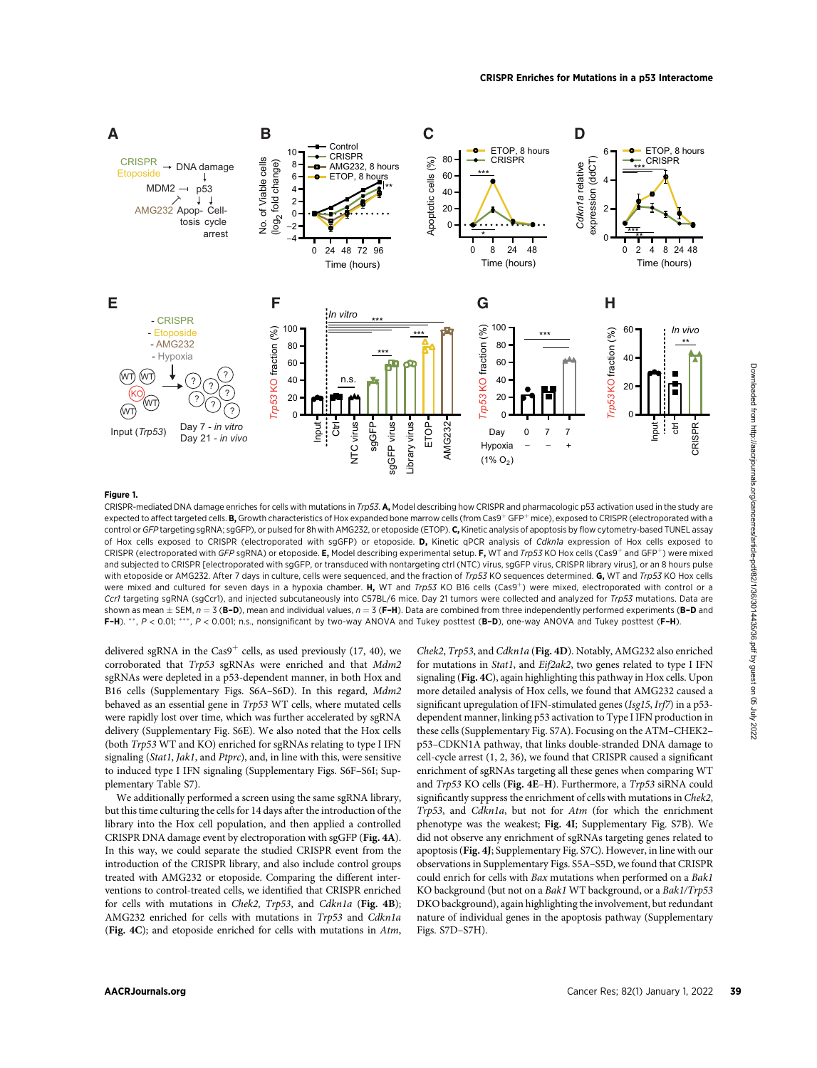

#### Figure 1.

CRISPR-mediated DNA damage enriches for cells with mutations in Trp53. A, Model describing how CRISPR and pharmacologic p53 activation used in the study are expected to affect targeted cells. **B.** Growth characteristics of Hox expanded bone marrow cells (from Cas9<sup>+</sup> GFP<sup>+</sup> mice), exposed to CRISPR (electroporated with a control or GFP targeting sgRNA; sgGFP), or pulsed for 8h with AMG232, or etoposide (ETOP). C, Kinetic analysis of apoptosis by flow cytometry-based TUNEL assay of Hox cells exposed to CRISPR (electroporated with sgGFP) or etoposide. D, Kinetic qPCR analysis of Cdkn1a expression of Hox cells exposed to CRISPR (electroporated with GFP sgRNA) or etoposide. **E.** Model describing experimental setup. **F.** WT and *Trp53* KO Hox cells (Cas9<sup>+</sup> and GFP<sup>+</sup>) were mixed and subjected to CRISPR [electroporated with sgGFP, or transduced with nontargeting ctrl (NTC) virus, sgGFP virus, CRISPR library virus], or an 8 hours pulse with etoposide or AMG232. After 7 days in culture, cells were sequenced, and the fraction of Trp53 KO sequences determined. G, WT and Trp53 KO Hox cells were mixed and cultured for seven days in a hypoxia chamber. H, WT and Trp53 KO B16 cells (Cas9<sup>+</sup>) were mixed, electroporated with control or a Ccr1 targeting sgRNA (sgCcr1), and injected subcutaneously into C57BL/6 mice. Day 21 tumors were collected and analyzed for Trp53 mutations. Data are shown as mean  $\pm$  SEM,  $n = 3$  (B-D), mean and individual values,  $n = 3$  (F-H). Data are combined from three independently performed experiments (B-D and F-H).  $**$ ,  $P < 0.01$ ;  $***$ ,  $P < 0.001$ ; n.s., nonsignificant by two-way ANOVA and Tukey posttest (B-D), one-way ANOVA and Tukey posttest (F-H).

delivered sgRNA in the Cas9<sup>+</sup> cells, as used previously (17, 40), we corroborated that Trp53 sgRNAs were enriched and that Mdm2 sgRNAs were depleted in a p53-dependent manner, in both Hox and B16 cells (Supplementary Figs. S6A–S6D). In this regard, Mdm2 behaved as an essential gene in Trp53 WT cells, where mutated cells were rapidly lost over time, which was further accelerated by sgRNA delivery (Supplementary Fig. S6E). We also noted that the Hox cells (both Trp53 WT and KO) enriched for sgRNAs relating to type I IFN signaling (Stat1, Jak1, and Ptprc), and, in line with this, were sensitive to induced type I IFN signaling (Supplementary Figs. S6F–S6I; Supplementary Table S7).

We additionally performed a screen using the same sgRNA library, but this time culturing the cells for 14 days after the introduction of the library into the Hox cell population, and then applied a controlled CRISPR DNA damage event by electroporation with sgGFP (Fig. 4A). In this way, we could separate the studied CRISPR event from the introduction of the CRISPR library, and also include control groups treated with AMG232 or etoposide. Comparing the different interventions to control-treated cells, we identified that CRISPR enriched for cells with mutations in Chek2, Trp53, and Cdkn1a (Fig. 4B); AMG232 enriched for cells with mutations in Trp53 and Cdkn1a (Fig. 4C); and etoposide enriched for cells with mutations in Atm,

Chek2, Trp53, and Cdkn1a (Fig. 4D). Notably, AMG232 also enriched for mutations in Stat1, and Eif2ak2, two genes related to type I IFN signaling (Fig. 4C), again highlighting this pathway in Hox cells. Upon more detailed analysis of Hox cells, we found that AMG232 caused a significant upregulation of IFN-stimulated genes (Isg15, Irf7) in a p53 dependent manner, linking p53 activation to Type I IFN production in these cells (Supplementary Fig. S7A). Focusing on the ATM–CHEK2– p53–CDKN1A pathway, that links double-stranded DNA damage to cell-cycle arrest (1, 2, 36), we found that CRISPR caused a significant enrichment of sgRNAs targeting all these genes when comparing WT and Trp53 KO cells (Fig. 4E–H). Furthermore, a Trp53 siRNA could significantly suppress the enrichment of cells with mutations in Chek2, Trp53, and Cdkn1a, but not for Atm (for which the enrichment phenotype was the weakest; Fig. 4I; Supplementary Fig. S7B). We did not observe any enrichment of sgRNAs targeting genes related to apoptosis (Fig. 4J; Supplementary Fig. S7C). However, in line with our observations in Supplementary Figs. S5A–S5D, we found that CRISPR could enrich for cells with Bax mutations when performed on a Bak1 KO background (but not on a Bak1 WT background, or a Bak1/Trp53 DKO background), again highlighting the involvement, but redundant nature of individual genes in the apoptosis pathway (Supplementary Figs. S7D–S7H).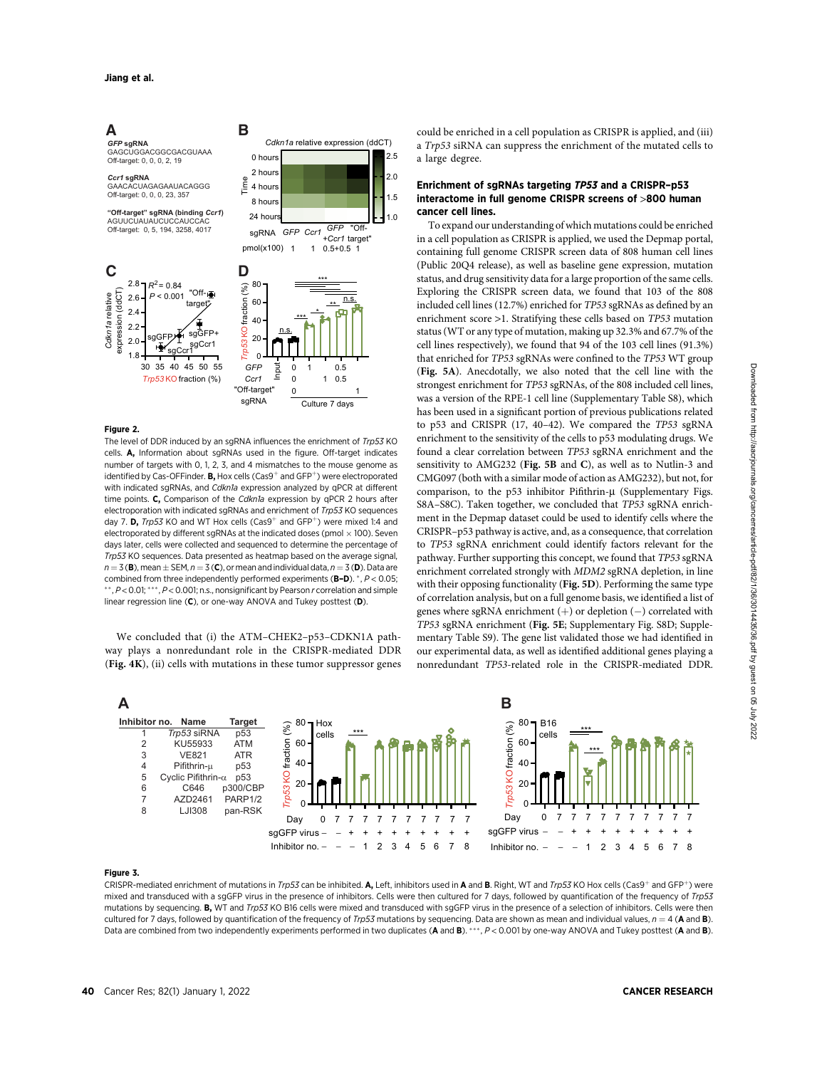# **A B**

*GFP* **sgRNA** GAGCUGGACGGCGACGUAAA Off-target: 0, 0, 0, 2, 19

*Ccr1* **sgRNA** GAACACUAGAGAAUACAGGG Off-target: 0, 0, 0, 23, 357

**"Off-target" sgRNA (binding** *Ccr1***)**  AGUUCUAUAUCUCCAUCCAC

Off-target: 0, 5, 194, 3258, 4017



0 hours 2 hours 4 hours 8 hours  $24$  hours

Time

*GFP Ccr1 GFP* <sup>+</sup>*Ccr1* sgRNA

*Cdkn1a* relative expression (ddCT)

"Off-+Ccr1 target"

1.0 1.5 2.0 2.5

#### Figure 2.

The level of DDR induced by an sgRNA influences the enrichment of Trp53 KO cells. **A.** Information about sgRNAs used in the figure. Off-target indicates number of targets with 0, 1, 2, 3, and 4 mismatches to the mouse genome as identified by Cas-OFFinder. **B**, Hox cells (Cas9<sup>+</sup> and GFP<sup>+</sup>) were electroporated with indicated sgRNAs, and Cdkn1a expression analyzed by qPCR at different time points. C, Comparison of the Cdkn1a expression by qPCR 2 hours after electroporation with indicated sgRNAs and enrichment of *Trp53* KO sequences day 7. **D.** Trp53 KO and WT Hox cells  $(Cas9^+)$  and  $GFP^+)$  were mixed 1:4 and electroporated by different sgRNAs at the indicated doses (pmol  $\times$  100). Seven days later, cells were collected and sequenced to determine the percentage of Trp53 KO sequences. Data presented as heatmap based on the average signal,  $n = 3$  (B), mean  $+$  SEM,  $n = 3$  (C), or mean and individual data,  $n = 3$  (D). Data are combined from three independently performed experiments ( $B-D$ ).  $^*$ ,  $P < 0.05$ ;  $*$ ,  $P$  < 0.01;  $**$ ,  $P$  < 0.001; n.s., nonsignificant by Pearson  $r$  correlation and simple linear regression line (C), or one-way ANOVA and Tukey posttest (D).

We concluded that (i) the ATM–CHEK2–p53–CDKN1A pathway plays a nonredundant role in the CRISPR-mediated DDR (Fig. 4K), (ii) cells with mutations in these tumor suppressor genes could be enriched in a cell population as CRISPR is applied, and (iii) a Trp53 siRNA can suppress the enrichment of the mutated cells to a large degree.

## Enrichment of sgRNAs targeting TP53 and a CRISPR–p53 interactome in full genome CRISPR screens of >800 human cancer cell lines.

To expand our understanding of which mutations could be enriched in a cell population as CRISPR is applied, we used the Depmap portal, containing full genome CRISPR screen data of 808 human cell lines (Public 20Q4 release), as well as baseline gene expression, mutation status, and drug sensitivity data for a large proportion of the same cells. Exploring the CRISPR screen data, we found that 103 of the 808 included cell lines (12.7%) enriched for TP53 sgRNAs as defined by an enrichment score >1. Stratifying these cells based on TP53 mutation status (WT or any type of mutation, making up 32.3% and 67.7% of the cell lines respectively), we found that 94 of the 103 cell lines (91.3%) that enriched for TP53 sgRNAs were confined to the TP53 WT group (Fig. 5A). Anecdotally, we also noted that the cell line with the strongest enrichment for TP53 sgRNAs, of the 808 included cell lines, was a version of the RPE-1 cell line (Supplementary Table S8), which has been used in a significant portion of previous publications related to p53 and CRISPR (17, 40–42). We compared the TP53 sgRNA enrichment to the sensitivity of the cells to p53 modulating drugs. We found a clear correlation between TP53 sgRNA enrichment and the sensitivity to AMG232 (Fig. 5B and C), as well as to Nutlin-3 and CMG097 (both with a similar mode of action as AMG232), but not, for comparison, to the  $p53$  inhibitor Pifithrin- $\mu$  (Supplementary Figs. S8A–S8C). Taken together, we concluded that TP53 sgRNA enrichment in the Depmap dataset could be used to identify cells where the CRISPR–p53 pathway is active, and, as a consequence, that correlation to TP53 sgRNA enrichment could identify factors relevant for the pathway. Further supporting this concept, we found that TP53 sgRNA enrichment correlated strongly with MDM2 sgRNA depletion, in line with their opposing functionality (Fig. 5D). Performing the same type of correlation analysis, but on a full genome basis, we identified a list of genes where sgRNA enrichment  $(+)$  or depletion  $(-)$  correlated with TP53 sgRNA enrichment (Fig. 5E; Supplementary Fig. S8D; Supplementary Table S9). The gene list validated those we had identified in our experimental data, as well as identified additional genes playing a nonredundant TP53-related role in the CRISPR-mediated DDR.



#### Figure 3.

CRISPR-mediated enrichment of mutations in Trp53 can be inhibited. A, Left, inhibitors used in A and B. Right, WT and Trp53 KO Hox cells (Cas9<sup>+</sup> and GFP<sup>+</sup>) were mixed and transduced with a sgGFP virus in the presence of inhibitors. Cells were then cultured for 7 days, followed by quantification of the frequency of Trp53 mutations by sequencing. B, WT and Trp53 KO B16 cells were mixed and transduced with sgGFP virus in the presence of a selection of inhibitors. Cells were then cultured for 7 days, followed by quantification of the frequency of *Trp53* mutations by sequencing. Data are shown as mean and individual values,  $n = 4$  (**A** and **B**).<br>Data are combined from two independently experiments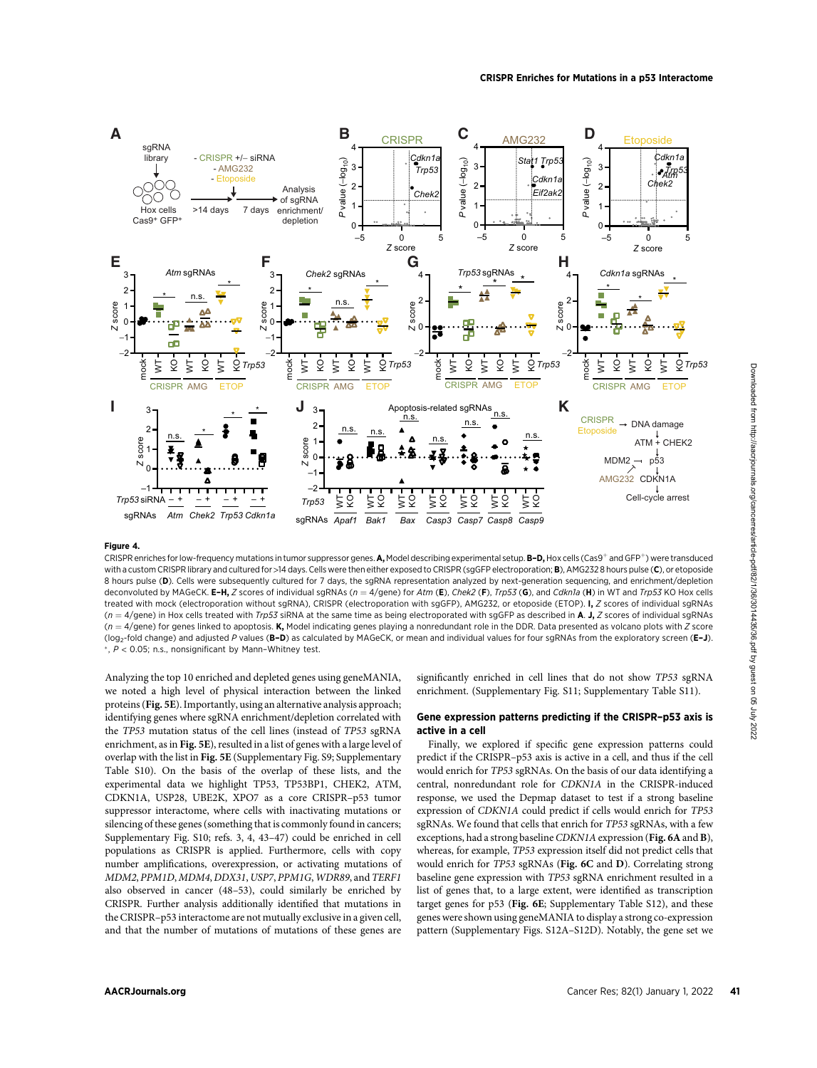

## Figure 4.

CRISPR enriches for low-frequency mutations in tumor suppressor genes. A, Model describing experimental setup. B-D, Hox cells (Cas9<sup>+</sup> and GFP<sup>+</sup>) were transduced with a custom CRISPR library and cultured for >14 days. Cells were then either exposed to CRISPR (sgGFP electroporation; B), AMG232 8 hours pulse (C), or etoposide 8 hours pulse (D). Cells were subsequently cultured for 7 days, the sqRNA representation analyzed by next-generation sequencing, and enrichment/depletion deconvoluted by MAGeCK. E-H, Z scores of individual sgRNAs ( $n = 4$ /gene) for Atm (E), Chek2 (F), Trp53 (G), and Cdkn1a (H) in WT and Trp53 KO Hox cells treated with mock (electroporation without sgRNA), CRISPR (electroporation with sgGFP), AMG232, or etoposide (ETOP). I, Z scores of individual sgRNAs  $(n = 4$ /gene) in Hox cells treated with Trp53 siRNA at the same time as being electroporated with sgGFP as described in A. J, Z scores of individual sgRNAs  $(n = 4$ /gene) for genes linked to apoptosis. K, Model indicating genes playing a nonredundant role in the DDR. Data presented as volcano plots with Z score (log<sub>2</sub>-fold change) and adjusted P values (B-D) as calculated by MAGeCK, or mean and individual values for four sgRNAs from the exploratory screen (E-J).  $, P < 0.05$ ; n.s., nonsignificant by Mann-Whitney test.

Analyzing the top 10 enriched and depleted genes using geneMANIA, we noted a high level of physical interaction between the linked proteins (Fig. 5E). Importantly, using an alternative analysis approach; identifying genes where sgRNA enrichment/depletion correlated with the TP53 mutation status of the cell lines (instead of TP53 sgRNA enrichment, as in Fig. 5E), resulted in a list of genes with a large level of overlap with the list in Fig. 5E (Supplementary Fig. S9; Supplementary Table S10). On the basis of the overlap of these lists, and the experimental data we highlight TP53, TP53BP1, CHEK2, ATM, CDKN1A, USP28, UBE2K, XPO7 as a core CRISPR–p53 tumor suppressor interactome, where cells with inactivating mutations or silencing of these genes (something that is commonly found in cancers; Supplementary Fig. S10; refs. 3, 4, 43–47) could be enriched in cell populations as CRISPR is applied. Furthermore, cells with copy number amplifications, overexpression, or activating mutations of MDM2, PPM1D, MDM4, DDX31, USP7, PPM1G, WDR89, and TERF1 also observed in cancer (48–53), could similarly be enriched by CRISPR. Further analysis additionally identified that mutations in the CRISPR–p53 interactome are not mutually exclusive in a given cell, and that the number of mutations of mutations of these genes are significantly enriched in cell lines that do not show TP53 sgRNA enrichment. (Supplementary Fig. S11; Supplementary Table S11).

#### Gene expression patterns predicting if the CRISPR–p53 axis is active in a cell

Finally, we explored if specific gene expression patterns could predict if the CRISPR–p53 axis is active in a cell, and thus if the cell would enrich for TP53 sgRNAs. On the basis of our data identifying a central, nonredundant role for CDKN1A in the CRISPR-induced response, we used the Depmap dataset to test if a strong baseline expression of CDKN1A could predict if cells would enrich for TP53 sgRNAs. We found that cells that enrich for TP53 sgRNAs, with a few exceptions, had a strong baseline CDKN1A expression (Fig. 6A and B), whereas, for example, TP53 expression itself did not predict cells that would enrich for TP53 sgRNAs (Fig. 6C and D). Correlating strong baseline gene expression with TP53 sgRNA enrichment resulted in a list of genes that, to a large extent, were identified as transcription target genes for p53 (Fig. 6E; Supplementary Table S12), and these genes were shown using geneMANIA to display a strong co-expression pattern (Supplementary Figs. S12A–S12D). Notably, the gene set we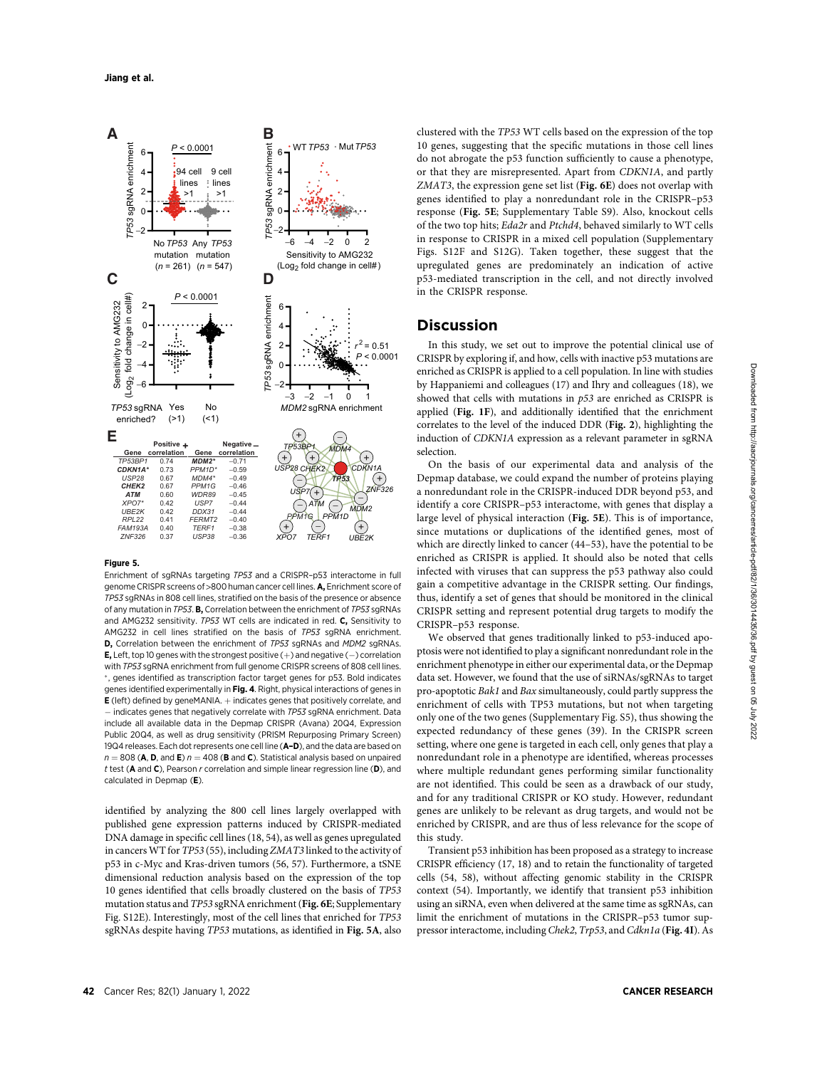

#### Figure 5.

Enrichment of sgRNAs targeting TP53 and a CRISPR–p53 interactome in full genome CRISPR screens of >800 human cancer cell lines. A, Enrichment score of TP53 sgRNAs in 808 cell lines, stratified on the basis of the presence or absence of any mutation in TP53. **B.** Correlation between the enrichment of TP53 sqRNAs and AMG232 sensitivity. TP53 WT cells are indicated in red. C, Sensitivity to AMG232 in cell lines stratified on the basis of TP53 sgRNA enrichment. D, Correlation between the enrichment of TP53 sgRNAs and MDM2 sgRNAs. **E**, Left, top 10 genes with the strongest positive  $(+)$  and negative  $(-)$  correlation with TP53 sgRNA enrichment from full genome CRISPR screens of 808 cell lines. \*, genes identified as transcription factor target genes for p53. Bold indicates genes identified experimentally in Fig. 4. Right, physical interactions of genes in  $E$  (left) defined by geneMANIA.  $+$  indicates genes that positively correlate, and  $-$  indicates genes that negatively correlate with TP53 sgRNA enrichment. Data include all available data in the Depmap CRISPR (Avana) 20Q4, Expression Public 20Q4, as well as drug sensitivity (PRISM Repurposing Primary Screen) 19Q4 releases. Each dot represents one cell line (A-D), and the data are based on  $n = 808$  (A, D, and E)  $n = 408$  (B and C). Statistical analysis based on unpaired t test ( $A$  and  $C$ ), Pearson  $r$  correlation and simple linear regression line ( $D$ ), and calculated in Depmap (E).

identified by analyzing the 800 cell lines largely overlapped with published gene expression patterns induced by CRISPR-mediated DNA damage in specific cell lines (18, 54), as well as genes upregulated in cancersWT for TP53 (55), including ZMAT3 linked to the activity of p53 in c-Myc and Kras-driven tumors (56, 57). Furthermore, a tSNE dimensional reduction analysis based on the expression of the top 10 genes identified that cells broadly clustered on the basis of TP53 mutation status and TP53 sgRNA enrichment (Fig. 6E; Supplementary Fig. S12E). Interestingly, most of the cell lines that enriched for TP53 sgRNAs despite having TP53 mutations, as identified in Fig. 5A, also

clustered with the TP53 WT cells based on the expression of the top 10 genes, suggesting that the specific mutations in those cell lines do not abrogate the p53 function sufficiently to cause a phenotype, or that they are misrepresented. Apart from CDKN1A, and partly ZMAT3, the expression gene set list (Fig. 6E) does not overlap with genes identified to play a nonredundant role in the CRISPR–p53 response (Fig. 5E; Supplementary Table S9). Also, knockout cells of the two top hits; Eda2r and Ptchd4, behaved similarly to WT cells in response to CRISPR in a mixed cell population (Supplementary Figs. S12F and S12G). Taken together, these suggest that the upregulated genes are predominately an indication of active p53-mediated transcription in the cell, and not directly involved in the CRISPR response.

# Discussion

In this study, we set out to improve the potential clinical use of CRISPR by exploring if, and how, cells with inactive p53 mutations are enriched as CRISPR is applied to a cell population. In line with studies by Happaniemi and colleagues (17) and Ihry and colleagues (18), we showed that cells with mutations in p53 are enriched as CRISPR is applied (Fig. 1F), and additionally identified that the enrichment correlates to the level of the induced DDR (Fig. 2), highlighting the induction of CDKN1A expression as a relevant parameter in sgRNA selection.

On the basis of our experimental data and analysis of the Depmap database, we could expand the number of proteins playing a nonredundant role in the CRISPR-induced DDR beyond p53, and identify a core CRISPR–p53 interactome, with genes that display a large level of physical interaction (Fig. 5E). This is of importance, since mutations or duplications of the identified genes, most of which are directly linked to cancer (44–53), have the potential to be enriched as CRISPR is applied. It should also be noted that cells infected with viruses that can suppress the p53 pathway also could gain a competitive advantage in the CRISPR setting. Our findings, thus, identify a set of genes that should be monitored in the clinical CRISPR setting and represent potential drug targets to modify the CRISPR–p53 response.

We observed that genes traditionally linked to p53-induced apoptosis were not identified to play a significant nonredundant role in the enrichment phenotype in either our experimental data, or the Depmap data set. However, we found that the use of siRNAs/sgRNAs to target pro-apoptotic Bak1 and Bax simultaneously, could partly suppress the enrichment of cells with TP53 mutations, but not when targeting only one of the two genes (Supplementary Fig. S5), thus showing the expected redundancy of these genes (39). In the CRISPR screen setting, where one gene is targeted in each cell, only genes that play a nonredundant role in a phenotype are identified, whereas processes where multiple redundant genes performing similar functionality are not identified. This could be seen as a drawback of our study, and for any traditional CRISPR or KO study. However, redundant genes are unlikely to be relevant as drug targets, and would not be enriched by CRISPR, and are thus of less relevance for the scope of this study.

Transient p53 inhibition has been proposed as a strategy to increase CRISPR efficiency (17, 18) and to retain the functionality of targeted cells (54, 58), without affecting genomic stability in the CRISPR context (54). Importantly, we identify that transient p53 inhibition using an siRNA, even when delivered at the same time as sgRNAs, can limit the enrichment of mutations in the CRISPR–p53 tumor suppressor interactome, including Chek2, Trp53, and Cdkn1a (Fig. 4I). As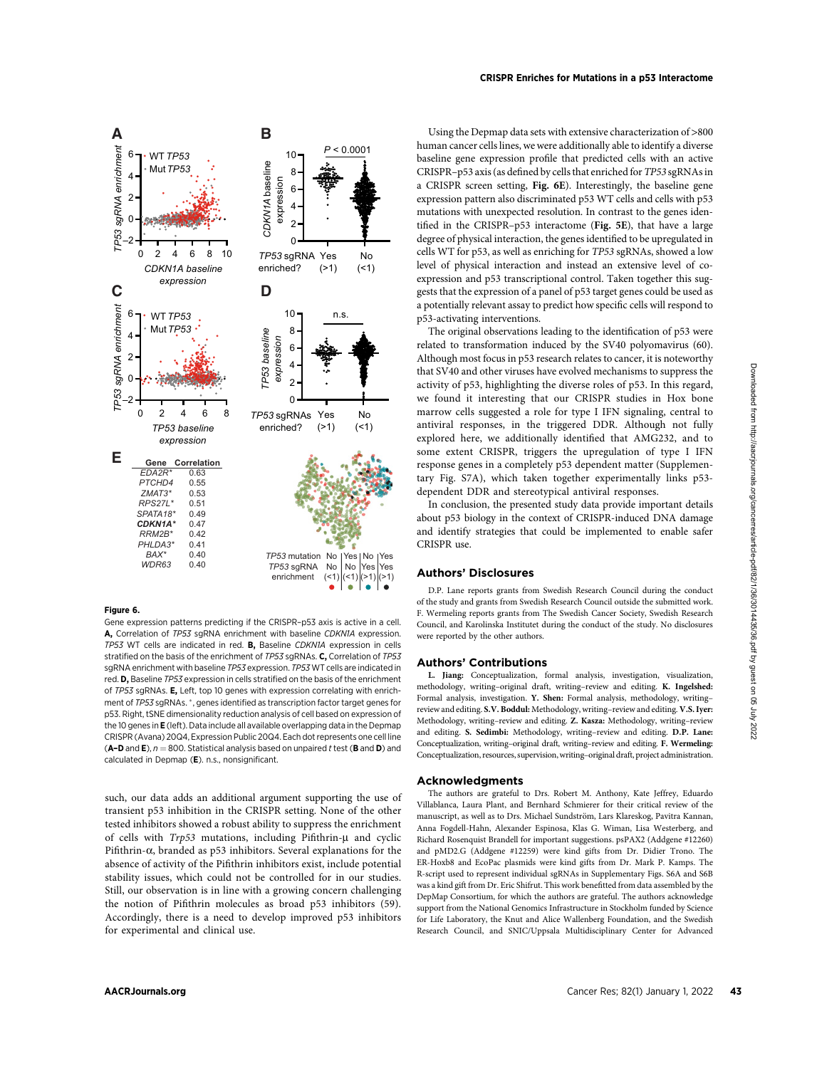



### Figure 6.

Gene expression patterns predicting if the CRISPR–p53 axis is active in a cell. A, Correlation of TP53 sgRNA enrichment with baseline CDKN1A expression. TP53 WT cells are indicated in red. B, Baseline CDKN1A expression in cells stratified on the basis of the enrichment of TP53 sgRNAs. C. Correlation of TP53 sgRNA enrichment with baseline TP53 expression. TP53 WT cells are indicated in red. D, Baseline TP53 expression in cells stratified on the basis of the enrichment of TP53 sgRNAs. E, Left, top 10 genes with expression correlating with enrichment of TP53 sqRNAs. \*, genes identified as transcription factor target genes for p53. Right, tSNE dimensionality reduction analysis of cell based on expression of the 10 genes in E (left). Data include all available overlapping data in the Depmap CRISPR (Avana) 20Q4, Expression Public 20Q4. Each dot represents one cell line (A–D and E),  $n = 800$ . Statistical analysis based on unpaired t test (B and D) and calculated in Depmap (E). n.s., nonsignificant.

such, our data adds an additional argument supporting the use of transient p53 inhibition in the CRISPR setting. None of the other tested inhibitors showed a robust ability to suppress the enrichment of cells with  $Trp53$  mutations, including Pifithrin- $\mu$  and cyclic Pifithrin- $\alpha$ , branded as p53 inhibitors. Several explanations for the absence of activity of the Pifithrin inhibitors exist, include potential stability issues, which could not be controlled for in our studies. Still, our observation is in line with a growing concern challenging the notion of Pifithrin molecules as broad p53 inhibitors (59). Accordingly, there is a need to develop improved p53 inhibitors for experimental and clinical use.

Using the Depmap data sets with extensive characterization of >800 human cancer cells lines, we were additionally able to identify a diverse baseline gene expression profile that predicted cells with an active CRISPR–p53 axis (as defined by cells that enriched for TP53 sgRNAs in a CRISPR screen setting, Fig. 6E). Interestingly, the baseline gene expression pattern also discriminated p53 WT cells and cells with p53 mutations with unexpected resolution. In contrast to the genes identified in the CRISPR–p53 interactome (Fig. 5E), that have a large degree of physical interaction, the genes identified to be upregulated in cells WT for p53, as well as enriching for TP53 sgRNAs, showed a low level of physical interaction and instead an extensive level of coexpression and p53 transcriptional control. Taken together this suggests that the expression of a panel of p53 target genes could be used as a potentially relevant assay to predict how specific cells will respond to p53-activating interventions.

The original observations leading to the identification of p53 were related to transformation induced by the SV40 polyomavirus (60). Although most focus in p53 research relates to cancer, it is noteworthy that SV40 and other viruses have evolved mechanisms to suppress the activity of p53, highlighting the diverse roles of p53. In this regard, we found it interesting that our CRISPR studies in Hox bone marrow cells suggested a role for type I IFN signaling, central to antiviral responses, in the triggered DDR. Although not fully explored here, we additionally identified that AMG232, and to some extent CRISPR, triggers the upregulation of type I IFN response genes in a completely p53 dependent matter (Supplementary Fig. S7A), which taken together experimentally links p53 dependent DDR and stereotypical antiviral responses.

In conclusion, the presented study data provide important details about p53 biology in the context of CRISPR-induced DNA damage and identify strategies that could be implemented to enable safer CRISPR use.

## Authors' Disclosures

D.P. Lane reports grants from Swedish Research Council during the conduct of the study and grants from Swedish Research Council outside the submitted work. F. Wermeling reports grants from The Swedish Cancer Society, Swedish Research Council, and Karolinska Institutet during the conduct of the study. No disclosures were reported by the other authors.

#### Authors' Contributions

L. Jiang: Conceptualization, formal analysis, investigation, visualization, methodology, writing–original draft, writing–review and editing. K. Ingelshed: Formal analysis, investigation. Y. Shen: Formal analysis, methodology, writing– review and editing. S.V. Boddul: Methodology, writing–review and editing. V.S. Iyer: Methodology, writing–review and editing. Z. Kasza: Methodology, writing–review and editing. S. Sedimbi: Methodology, writing–review and editing. D.P. Lane: Conceptualization, writing–original draft, writing–review and editing. F. Wermeling: Conceptualization, resources, supervision,writing–original draft, project administration.

#### Acknowledgments

The authors are grateful to Drs. Robert M. Anthony, Kate Jeffrey, Eduardo Villablanca, Laura Plant, and Bernhard Schmierer for their critical review of the manuscript, as well as to Drs. Michael Sundström, Lars Klareskog, Pavitra Kannan, Anna Fogdell-Hahn, Alexander Espinosa, Klas G. Wiman, Lisa Westerberg, and Richard Rosenquist Brandell for important suggestions. psPAX2 (Addgene #12260) and pMD2.G (Addgene #12259) were kind gifts from Dr. Didier Trono. The ER-Hoxb8 and EcoPac plasmids were kind gifts from Dr. Mark P. Kamps. The R-script used to represent individual sgRNAs in Supplementary Figs. S6A and S6B was a kind gift from Dr. Eric Shifrut. This work benefitted from data assembled by the DepMap Consortium, for which the authors are grateful. The authors acknowledge support from the National Genomics Infrastructure in Stockholm funded by Science for Life Laboratory, the Knut and Alice Wallenberg Foundation, and the Swedish Research Council, and SNIC/Uppsala Multidisciplinary Center for Advanced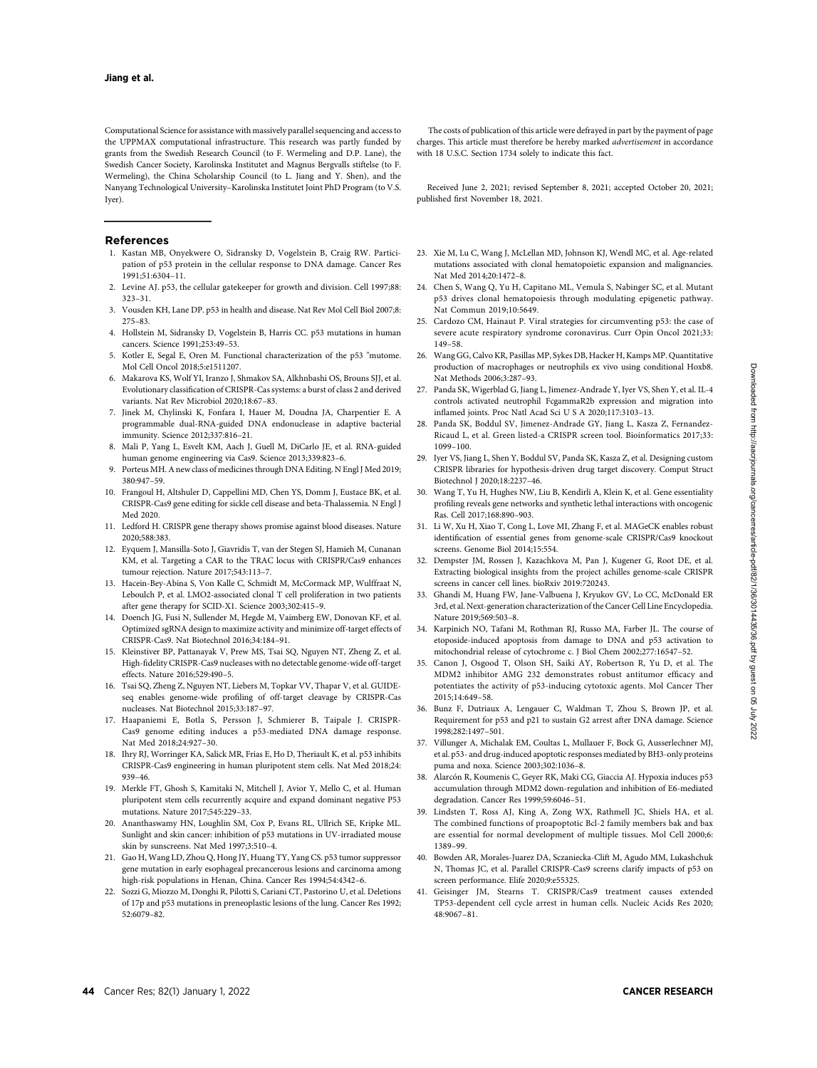Computational Science for assistance with massively parallel sequencing and access to the UPPMAX computational infrastructure. This research was partly funded by grants from the Swedish Research Council (to F. Wermeling and D.P. Lane), the Swedish Cancer Society, Karolinska Institutet and Magnus Bergvalls stiftelse (to F. Wermeling), the China Scholarship Council (to L. Jiang and Y. Shen), and the Nanyang Technological University–Karolinska Institutet Joint PhD Program (to V.S. Iyer).

#### References

- 1. Kastan MB, Onyekwere O, Sidransky D, Vogelstein B, Craig RW. Participation of p53 protein in the cellular response to DNA damage. Cancer Res 1991;51:6304–11.
- 2. Levine AJ. p53, the cellular gatekeeper for growth and division. Cell 1997;88: 323–31.
- 3. Vousden KH, Lane DP. p53 in health and disease. Nat Rev Mol Cell Biol 2007;8: 275–83.
- 4. Hollstein M, Sidransky D, Vogelstein B, Harris CC. p53 mutations in human cancers. Science 1991;253:49–53.
- 5. Kotler E, Segal E, Oren M. Functional characterization of the p53 "mutome. Mol Cell Oncol 2018;5:e1511207.
- 6. Makarova KS, Wolf YI, Iranzo J, Shmakov SA, Alkhnbashi OS, Brouns SJJ, et al. Evolutionary classification of CRISPR-Cas systems: a burst of class 2 and derived variants. Nat Rev Microbiol 2020;18:67–83.
- 7. Jinek M, Chylinski K, Fonfara I, Hauer M, Doudna JA, Charpentier E. A programmable dual-RNA-guided DNA endonuclease in adaptive bacterial immunity. Science 2012;337:816–21.
- 8. Mali P, Yang L, Esvelt KM, Aach J, Guell M, DiCarlo JE, et al. RNA-guided human genome engineering via Cas9. Science 2013;339:823–6.
- 9. Porteus MH. A new class of medicines through DNA Editing. N Engl J Med 2019; 380:947–59.
- 10. Frangoul H, Altshuler D, Cappellini MD, Chen YS, Domm J, Eustace BK, et al. CRISPR-Cas9 gene editing for sickle cell disease and beta-Thalassemia. N Engl J Med 2020.
- 11. Ledford H. CRISPR gene therapy shows promise against blood diseases. Nature 2020;588:383.
- 12. Eyquem J, Mansilla-Soto J, Giavridis T, van der Stegen SJ, Hamieh M, Cunanan KM, et al. Targeting a CAR to the TRAC locus with CRISPR/Cas9 enhances tumour rejection. Nature 2017;543:113–7.
- 13. Hacein-Bey-Abina S, Von Kalle C, Schmidt M, McCormack MP, Wulffraat N, Leboulch P, et al. LMO2-associated clonal T cell proliferation in two patients after gene therapy for SCID-X1. Science 2003;302:415–9.
- 14. Doench JG, Fusi N, Sullender M, Hegde M, Vaimberg EW, Donovan KF, et al. Optimized sgRNA design to maximize activity and minimize off-target effects of CRISPR-Cas9. Nat Biotechnol 2016;34:184–91.
- 15. Kleinstiver BP, Pattanayak V, Prew MS, Tsai SQ, Nguyen NT, Zheng Z, et al. High-fidelity CRISPR-Cas9 nucleases with no detectable genome-wide off-target effects. Nature 2016;529:490–5.
- 16. Tsai SQ, Zheng Z, Nguyen NT, Liebers M, Topkar VV, Thapar V, et al. GUIDEseq enables genome-wide profiling of off-target cleavage by CRISPR-Cas nucleases. Nat Biotechnol 2015;33:187–97.
- 17. Haapaniemi E, Botla S, Persson J, Schmierer B, Taipale J. CRISPR-Cas9 genome editing induces a p53-mediated DNA damage response. Nat Med 2018;24:927–30.
- 18. Ihry RJ, Worringer KA, Salick MR, Frias E, Ho D, Theriault K, et al. p53 inhibits CRISPR-Cas9 engineering in human pluripotent stem cells. Nat Med 2018;24: 939–46.
- 19. Merkle FT, Ghosh S, Kamitaki N, Mitchell J, Avior Y, Mello C, et al. Human pluripotent stem cells recurrently acquire and expand dominant negative P53 mutations. Nature 2017;545:229–33.
- 20. Ananthaswamy HN, Loughlin SM, Cox P, Evans RL, Ullrich SE, Kripke ML. Sunlight and skin cancer: inhibition of p53 mutations in UV-irradiated mouse skin by sunscreens. Nat Med 1997;3:510–4.
- 21. Gao H, Wang LD, Zhou Q, Hong JY, Huang TY, Yang CS. p53 tumor suppressor gene mutation in early esophageal precancerous lesions and carcinoma among high-risk populations in Henan, China. Cancer Res 1994;54:4342–6.
- 22. Sozzi G, Miozzo M, Donghi R, Pilotti S, Cariani CT, Pastorino U, et al. Deletions of 17p and p53 mutations in preneoplastic lesions of the lung. Cancer Res 1992; 52:6079–82.

The costs of publication of this article were defrayed in part by the payment of page charges. This article must therefore be hereby marked advertisement in accordance with 18 U.S.C. Section 1734 solely to indicate this fact.

Received June 2, 2021; revised September 8, 2021; accepted October 20, 2021; published first November 18, 2021.

- 23. Xie M, Lu C, Wang J, McLellan MD, Johnson KJ, Wendl MC, et al. Age-related mutations associated with clonal hematopoietic expansion and malignancies. Nat Med 2014;20:1472–8.
- 24. Chen S, Wang Q, Yu H, Capitano ML, Vemula S, Nabinger SC, et al. Mutant p53 drives clonal hematopoiesis through modulating epigenetic pathway. Nat Commun 2019;10:5649.
- 25. Cardozo CM, Hainaut P. Viral strategies for circumventing p53: the case of severe acute respiratory syndrome coronavirus. Curr Opin Oncol 2021;33: 149–58.
- 26. Wang GG, Calvo KR, Pasillas MP, Sykes DB, Hacker H, Kamps MP. Quantitative production of macrophages or neutrophils ex vivo using conditional Hoxb8. Nat Methods 2006;3:287–93.
- 27. Panda SK, Wigerblad G, Jiang L, Jimenez-Andrade Y, Iyer VS, Shen Y, et al. IL-4 controls activated neutrophil FcgammaR2b expression and migration into inflamed joints. Proc Natl Acad Sci U S A 2020;117:3103–13.
- 28. Panda SK, Boddul SV, Jimenez-Andrade GY, Jiang L, Kasza Z, Fernandez-Ricaud L, et al. Green listed-a CRISPR screen tool. Bioinformatics 2017;33: 1099–100.
- 29. Iyer VS, Jiang L, Shen Y, Boddul SV, Panda SK, Kasza Z, et al. Designing custom CRISPR libraries for hypothesis-driven drug target discovery. Comput Struct Biotechnol J 2020;18:2237–46.
- 30. Wang T, Yu H, Hughes NW, Liu B, Kendirli A, Klein K, et al. Gene essentiality profiling reveals gene networks and synthetic lethal interactions with oncogenic Ras. Cell 2017;168:890–903.
- 31. Li W, Xu H, Xiao T, Cong L, Love MI, Zhang F, et al. MAGeCK enables robust identification of essential genes from genome-scale CRISPR/Cas9 knockout screens. Genome Biol 2014;15:554.
- 32. Dempster JM, Rossen J, Kazachkova M, Pan J, Kugener G, Root DE, et al. Extracting biological insights from the project achilles genome-scale CRISPR screens in cancer cell lines. bioRxiv 2019:720243.
- 33. Ghandi M, Huang FW, Jane-Valbuena J, Kryukov GV, Lo CC, McDonald ER 3rd, et al. Next-generation characterization of the Cancer Cell Line Encyclopedia. Nature 2019;569:503–8.
- 34. Karpinich NO, Tafani M, Rothman RJ, Russo MA, Farber JL. The course of etoposide-induced apoptosis from damage to DNA and p53 activation to mitochondrial release of cytochrome c. J Biol Chem 2002;277:16547–52.
- 35. Canon J, Osgood T, Olson SH, Saiki AY, Robertson R, Yu D, et al. The MDM2 inhibitor AMG 232 demonstrates robust antitumor efficacy and potentiates the activity of p53-inducing cytotoxic agents. Mol Cancer Ther 2015;14:649–58.
- 36. Bunz F, Dutriaux A, Lengauer C, Waldman T, Zhou S, Brown JP, et al. Requirement for p53 and p21 to sustain G2 arrest after DNA damage. Science 1998;282:1497–501.
- 37. Villunger A, Michalak EM, Coultas L, Mullauer F, Bock G, Ausserlechner MJ, et al. p53- and drug-induced apoptotic responses mediated by BH3-only proteins puma and noxa. Science 2003;302:1036–8.
- 38. Alarcón R, Koumenis C, Geyer RK, Maki CG, Giaccia AJ. Hypoxia induces p53 accumulation through MDM2 down-regulation and inhibition of E6-mediated degradation. Cancer Res 1999;59:6046–51.
- 39. Lindsten T, Ross AJ, King A, Zong WX, Rathmell JC, Shiels HA, et al. The combined functions of proapoptotic Bcl-2 family members bak and bax are essential for normal development of multiple tissues. Mol Cell 2000;6: 1389–99.
- 40. Bowden AR, Morales-Juarez DA, Sczaniecka-Clift M, Agudo MM, Lukashchuk N, Thomas JC, et al. Parallel CRISPR-Cas9 screens clarify impacts of p53 on screen performance. Elife 2020;9:e55325.
- 41. Geisinger JM, Stearns T. CRISPR/Cas9 treatment causes extended TP53-dependent cell cycle arrest in human cells. Nucleic Acids Res 2020; 48:9067–81.